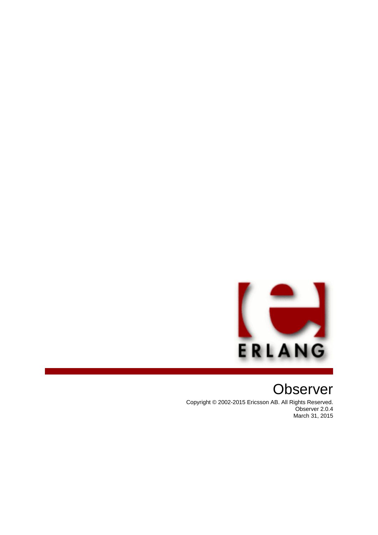

# **Observer**

Copyright © 2002-2015 Ericsson AB. All Rights Reserved. Observer 2.0.4 March 31, 2015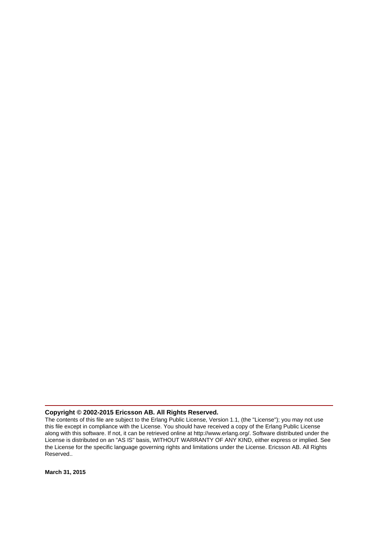#### **Copyright © 2002-2015 Ericsson AB. All Rights Reserved.**

The contents of this file are subject to the Erlang Public License, Version 1.1, (the "License"); you may not use this file except in compliance with the License. You should have received a copy of the Erlang Public License along with this software. If not, it can be retrieved online at http://www.erlang.org/. Software distributed under the License is distributed on an "AS IS" basis, WITHOUT WARRANTY OF ANY KIND, either express or implied. See the License for the specific language governing rights and limitations under the License. Ericsson AB. All Rights Reserved..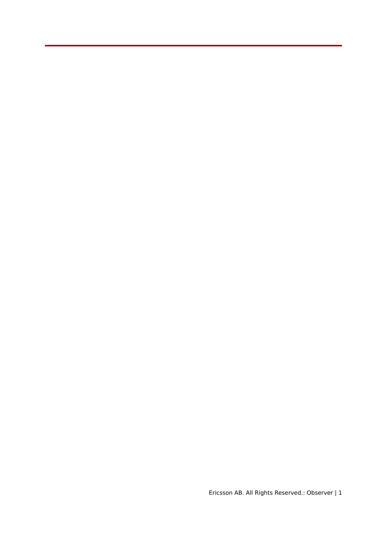Ericsson AB. All Rights Reserved.: Observer | 1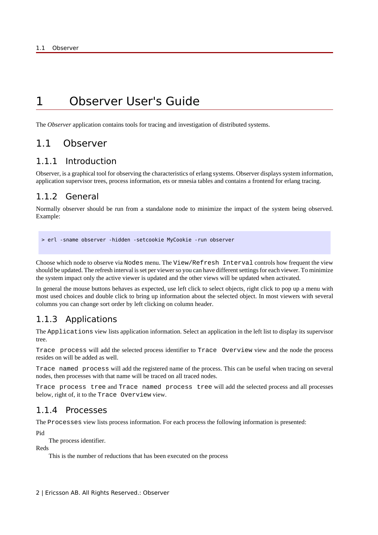# 1 Observer User's Guide

The *Observer* application contains tools for tracing and investigation of distributed systems.

# 1.1 Observer

# 1.1.1 Introduction

Observer, is a graphical tool for observing the characteristics of erlang systems. Observer displays system information, application supervisor trees, process information, ets or mnesia tables and contains a frontend for erlang tracing.

# 1.1.2 General

Normally observer should be run from a standalone node to minimize the impact of the system being observed. Example:

```
 > erl -sname observer -hidden -setcookie MyCookie -run observer
```
Choose which node to observe via Nodes menu. The View/Refresh Interval controls how frequent the view should be updated. The refresh interval is set per viewer so you can have different settings for each viewer. To minimize the system impact only the active viewer is updated and the other views will be updated when activated.

In general the mouse buttons behaves as expected, use left click to select objects, right click to pop up a menu with most used choices and double click to bring up information about the selected object. In most viewers with several columns you can change sort order by left clicking on column header.

# 1.1.3 Applications

The Applications view lists application information. Select an application in the left list to display its supervisor tree.

Trace process will add the selected process identifier to Trace Overview view and the node the process resides on will be added as well.

Trace named process will add the registered name of the process. This can be useful when tracing on several nodes, then processes with that name will be traced on all traced nodes.

Trace process tree and Trace named process tree will add the selected process and all processes below, right of, it to the Trace Overview view.

### 1.1.4 Processes

The Processes view lists process information. For each process the following information is presented:

Pid

The process identifier.

Reds

This is the number of reductions that has been executed on the process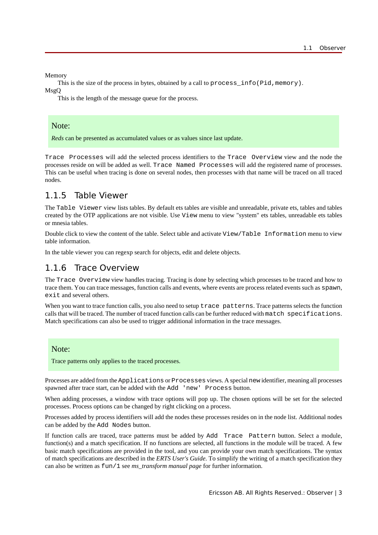Memory

This is the size of the process in bytes, obtained by a call to process info(Pid,memory). MsgQ

This is the length of the message queue for the process.

#### Note:

*Reds* can be presented as accumulated values or as values since last update.

Trace Processes will add the selected process identifiers to the Trace Overview view and the node the processes reside on will be added as well. Trace Named Processes will add the registered name of processes. This can be useful when tracing is done on several nodes, then processes with that name will be traced on all traced nodes.

# 1.1.5 Table Viewer

The Table Viewer view lists tables. By default ets tables are visible and unreadable, private ets, tables and tables created by the OTP applications are not visible. Use View menu to view "system" ets tables, unreadable ets tables or mnesia tables.

Double click to view the content of the table. Select table and activate View/Table Information menu to view table information.

In the table viewer you can regexp search for objects, edit and delete objects.

## 1.1.6 Trace Overview

The Trace Overview view handles tracing. Tracing is done by selecting which processes to be traced and how to trace them. You can trace messages, function calls and events, where events are process related events such as spawn, exit and several others.

When you want to trace function calls, you also need to setup trace patterns. Trace patterns selects the function calls that will be traced. The number of traced function calls can be further reduced with match specifications. Match specifications can also be used to trigger additional information in the trace messages.

#### Note:

Trace patterns only applies to the traced processes.

Processes are added from the Applications or Processes views. A special new identifier, meaning all processes spawned after trace start, can be added with the Add 'new' Process button.

When adding processes, a window with trace options will pop up. The chosen options will be set for the selected processes. Process options can be changed by right clicking on a process.

Processes added by process identifiers will add the nodes these processes resides on in the node list. Additional nodes can be added by the Add Nodes button.

If function calls are traced, trace patterns must be added by Add Trace Pattern button. Select a module, function(s) and a match specification. If no functions are selected, all functions in the module will be traced. A few basic match specifications are provided in the tool, and you can provide your own match specifications. The syntax of match specifications are described in the *ERTS User's Guide*. To simplify the writing of a match specification they can also be written as fun/1 see *ms\_transform manual page* for further information.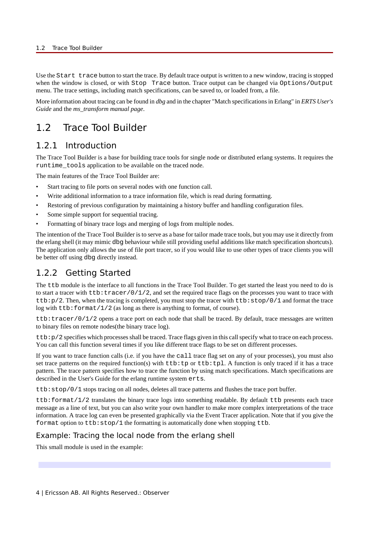Use the Start trace button to start the trace. By default trace output is written to a new window, tracing is stopped when the window is closed, or with Stop Trace button. Trace output can be changed via Options/Output menu. The trace settings, including match specifications, can be saved to, or loaded from, a file.

More information about tracing can be found in *dbg* and in the chapter "Match specifications in Erlang" in *ERTS User's Guide* and the *ms\_transform manual page*.

# 1.2 Trace Tool Builder

#### 1.2.1 Introduction

The Trace Tool Builder is a base for building trace tools for single node or distributed erlang systems. It requires the runtime\_tools application to be available on the traced node.

The main features of the Trace Tool Builder are:

- Start tracing to file ports on several nodes with one function call.
- Write additional information to a trace information file, which is read during formatting.
- Restoring of previous configuration by maintaining a history buffer and handling configuration files.
- Some simple support for sequential tracing.
- Formatting of binary trace logs and merging of logs from multiple nodes.

The intention of the Trace Tool Builder is to serve as a base for tailor made trace tools, but you may use it directly from the erlang shell (it may mimic dbg behaviour while still providing useful additions like match specification shortcuts). The application only allows the use of file port tracer, so if you would like to use other types of trace clients you will be better off using dbg directly instead.

### 1.2.2 Getting Started

The ttb module is the interface to all functions in the Trace Tool Builder. To get started the least you need to do is to start a tracer with  $ttb:trace/0/1/2$ , and set the required trace flags on the processes you want to trace with ttb: $p/2$ . Then, when the tracing is completed, you must stop the tracer with ttb: $stop/0/1$  and format the trace log with ttb: format/1/2 (as long as there is anything to format, of course).

ttb:tracer/0/1/2 opens a trace port on each node that shall be traced. By default, trace messages are written to binary files on remote nodes(the binary trace log).

ttb:p/2 specifies which processes shall be traced. Trace flags given in this call specify what to trace on each process. You can call this function several times if you like different trace flags to be set on different processes.

If you want to trace function calls (i.e. if you have the call trace flag set on any of your processes), you must also set trace patterns on the required function(s) with ttb:tp or ttb:tpl. A function is only traced if it has a trace pattern. The trace pattern specifies how to trace the function by using match specifications. Match specifications are described in the User's Guide for the erlang runtime system erts.

ttb:stop/0/1 stops tracing on all nodes, deletes all trace patterns and flushes the trace port buffer.

ttb:format/1/2 translates the binary trace logs into something readable. By default ttb presents each trace message as a line of text, but you can also write your own handler to make more complex interpretations of the trace information. A trace log can even be presented graphically via the Event Tracer application. Note that if you give the format option to  $ttb:stop/1$  the formatting is automatically done when stopping  $ttb$ .

#### Example: Tracing the local node from the erlang shell

This small module is used in the example: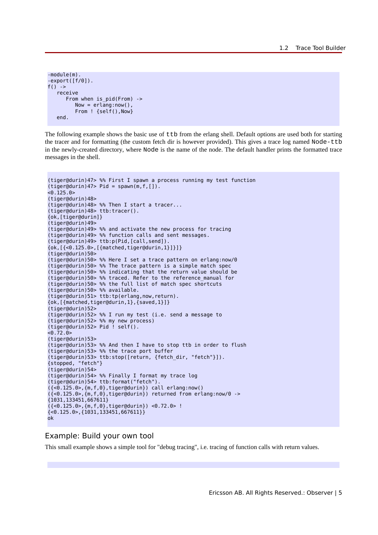```
-module(m).
-export([f/0]).f() ->
    receive 
       From when is_pid(From) ->
         Now = erlang:now() From ! {self(),Now}
    end.
```
The following example shows the basic use of  $ttb$  from the erlang shell. Default options are used both for starting the tracer and for formatting (the custom fetch dir is however provided). This gives a trace log named Node-ttb in the newly-created directory, where Node is the name of the node. The default handler prints the formatted trace messages in the shell.

```
(tiger@durin)47> %% First I spawn a process running my test function
(tiger@durin) 47> Pid = spawn(m, f, []).
< 0.125.0(tiger@durin)48> 
(tiger@durin)48> %% Then I start a tracer...
(tiger@durin)48> ttb:tracer().
{ok,[tiger@durin]}
(tiger@durin)49> 
(tiger@durin)49> %% and activate the new process for tracing
(tiger@durin)49> %% function calls and sent messages.
(tiger@durin)49> ttb:p(Pid,[call,send]).
{ok,[{<0.125.0>,[{matched,tiger@durin,1}]}]}
(tiger@durin)50> 
(tiger@durin)50> %% Here I set a trace pattern on erlang:now/0
(tiger@durin)50> %% The trace pattern is a simple match spec
(tiger@durin)50> %% indicating that the return value should be
(tiger@durin)50> %% traced. Refer to the reference_manual for
(tiger@durin)50> %% the full list of match spec shortcuts
(tiger@durin)50> %% available.
(tiger@durin)51> ttb:tp(erlang,now,return).
{ok,[{matched,tiger@durin,1},{saved,1}]}
(tiger@durin)52> 
(tiger@durin)52> %% I run my test (i.e. send a message to
(tiger@durin)52> %% my new process)
(tiger@durin)52> Pid ! self().
< 0.72.0(tiger@durin)53> 
(tiger@durin)53> %% And then I have to stop ttb in order to flush
(tiger@durin)53> %% the trace port buffer
(tiger@durin)53> ttb:stop([return, {fetch_dir, "fetch"}]).
{stopped, "fetch"}
(tiger@durin)54> 
(tiger@durin)54> %% Finally I format my trace log
(tiger@durin)54> ttb:format("fetch").
( { < 0.125.0 > , {m, f, 0}, tiger@durin}) call erlang:now()
({<0.125.0>,{m,f,0},tiger@durin}) returned from erlang:now/0 ->
{1031,133451,667611}
({<0.125.0>,{m,f,0},tiger@durin}) <0.72.0> ! 
{<0.125.0>,{1031,133451,667611}}
ok
```
#### Example: Build your own tool

This small example shows a simple tool for "debug tracing", i.e. tracing of function calls with return values.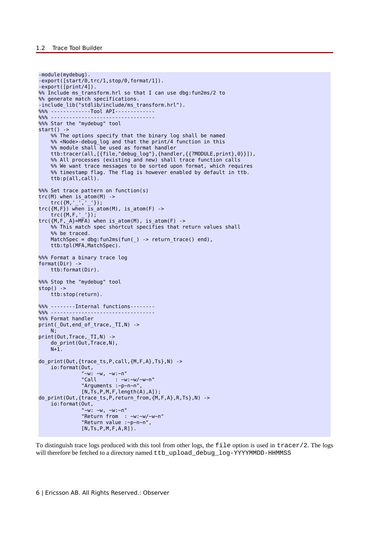```
-module(mydebug).
-export([start/0,trc/1,stop/0,format/1]).
-export([print/4]).
%% Include ms transform.hrl so that I can use dbg:fun2ms/2 to
%% generate match specifications.
-include_lib("stdlib/include/ms_transform.hrl").
%% --------------Tool API-------
%%% ----------------------------------
%%% Star the "mydebug" tool
start() ->
 %% The options specify that the binary log shall be named
 %% <Node>-debug_log and that the print/4 function in this
     %% module shall be used as format handler
     ttb:tracer(all,[{file,"debug_log"},{handler,{{?MODULE,print},0}}]),
     %% All processes (existing and new) shall trace function calls
     %% We want trace messages to be sorted upon format, which requires
     %% timestamp flag. The flag is however enabled by default in ttb.
     ttb:p(all,call).
%%% Set trace pattern on function(s)
trc(M) when is_atom(M) ->
 trc({M,'_','_'});
trc({M,F}) when is_atom(M), is_atom(F) ->
    trc(\{M,F, ''\});
trc({M,F,_A}=MFA) when is_atom(M), is_atom(F) ->
    \frac{1}{8} This match spec shortcut specifies that return values shall
     %% be traced.
    MatchSpec = dbg:fun2ms(fun(_) -> return_trace() end),
     ttb:tpl(MFA,MatchSpec).
%%% Format a binary trace log
format(Dir) ->
     ttb:format(Dir).
%%% Stop the "mydebug" tool
stop() ->
     ttb:stop(return).
%%% --------Internal functions--------
                 %%% ----------------------------------
%%% Format handler
print( Out, end of trace, TI,N) ->
    N;
print(Out,Trace,_TI,N) ->
     do_print(Out,Trace,N),
    N+1.
do print(Out, {trace ts, P, call, {M, F, A}, Ts}, N) ->
     io:format(Out,
               "~w: ~w, ~w:~n"
                        : ~w:~w/~w~n"
 "Arguments :~p~n~n",
[N,Ts,P,M,F,length(A),A]);
do_print(Out,{trace_ts,P,return_from,{M,F,A},R,Ts},N) ->
     io:format(Out,
              "~w: ~w, ~w:~n"
               "Return from : ~w:~w/~w~n"
               "Return value :~p~n~n",
              [N, Ts, P, M, F, A, R].
```
To distinguish trace logs produced with this tool from other logs, the file option is used in tracer/2. The logs will therefore be fetched to a directory named ttb\_upload\_debug\_log-YYYYMMDD-HHMMSS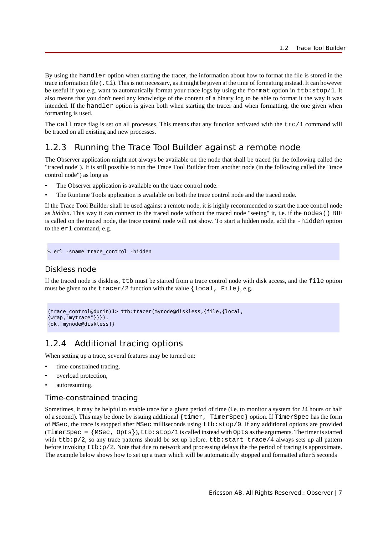By using the handler option when starting the tracer, the information about how to format the file is stored in the trace information file  $(. t i)$ . This is not necessary, as it might be given at the time of formatting instead. It can however be useful if you e.g. want to automatically format your trace logs by using the format option in ttb:stop/1. It also means that you don't need any knowledge of the content of a binary log to be able to format it the way it was intended. If the handler option is given both when starting the tracer and when formatting, the one given when formatting is used.

The call trace flag is set on all processes. This means that any function activated with the trc/1 command will be traced on all existing and new processes.

### 1.2.3 Running the Trace Tool Builder against a remote node

The Observer application might not always be available on the node that shall be traced (in the following called the "traced node"). It is still possible to run the Trace Tool Builder from another node (in the following called the "trace control node") as long as

- The Observer application is available on the trace control node.
- The Runtime Tools application is available on both the trace control node and the traced node.

If the Trace Tool Builder shall be used against a remote node, it is highly recommended to start the trace control node as *hidden*. This way it can connect to the traced node without the traced node "seeing" it, i.e. if the nodes() BIF is called on the traced node, the trace control node will not show. To start a hidden node, add the -hidden option to the erl command, e.g.

```
% erl -sname trace_control -hidden
```
#### Diskless node

If the traced node is diskless, ttb must be started from a trace control node with disk access, and the file option must be given to the  $\text{trace}/2$  function with the value  $\{\text{local}, \text{File}\}, e.g.$ 

```
(trace_control@durin)1> ttb:tracer(mynode@diskless,{file,{local,
{wrap,"mytrace"}}}).
{ok,[mynode@diskless]}
```
## 1.2.4 Additional tracing options

When setting up a trace, several features may be turned on:

- time-constrained tracing,
- overload protection,
- autoresuming.

#### Time-constrained tracing

Sometimes, it may be helpful to enable trace for a given period of time (i.e. to monitor a system for 24 hours or half of a second). This may be done by issuing additional {timer, TimerSpec} option. If TimerSpec has the form of MSec, the trace is stopped after MSec milliseconds using ttb:stop/0. If any additional options are provided (TimerSpec = {MSec, Opts}), ttb:stop/1 is called instead with Opts as the arguments. The timer is started with  $ttb: p/2$ , so any trace patterns should be set up before.  $ttb:start\_trace/4$  always sets up all pattern before invoking  $ttb:p/2$ . Note that due to network and processing delays the the period of tracing is approximate. The example below shows how to set up a trace which will be automatically stopped and formatted after 5 seconds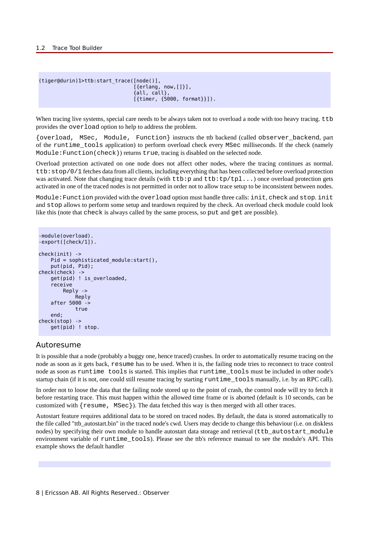```
(tiger@durin)1>ttb:start_trace([node()],
                                [{erlang, now, []}],
                                 {all, call},
                                 [{timer, {5000, format}}]).
```
When tracing live systems, special care needs to be always taken not to overload a node with too heavy tracing. ttb provides the overload option to help to address the problem.

{overload, MSec, Module, Function} instructs the ttb backend (called observer\_backend, part of the runtime\_tools application) to perform overload check every MSec milliseconds. If the check (namely Module:Function(check)) returns true, tracing is disabled on the selected node.

Overload protection activated on one node does not affect other nodes, where the tracing continues as normal. ttb:stop/0/1 fetches data from all clients, including everything that has been collected before overload protection was activated. Note that changing trace details (with ttb:p and ttb:tp/tpl...) once overload protection gets activated in one of the traced nodes is not permitted in order not to allow trace setup to be inconsistent between nodes.

Module:Function provided with the overload option must handle three calls: init, check and stop. init and stop allows to perform some setup and teardown required by the check. An overload check module could look like this (note that check is always called by the same process, so put and get are possible).

```
-module(overload).
-export([check/1]).
check(init) ->
    Pid = sophisticated module: start(),
     put(pid, Pid);
check(check) ->
     get(pid) ! is_overloaded,
     receive
         Reply ->
             Reply
     after 5000 ->
              true
     end;
check(stop) ->
     get(pid) ! stop.
```
#### Autoresume

It is possible that a node (probably a buggy one, hence traced) crashes. In order to automatically resume tracing on the node as soon as it gets back, resume has to be used. When it is, the failing node tries to reconnect to trace control node as soon as runtime tools is started. This implies that runtime\_tools must be included in other node's startup chain (if it is not, one could still resume tracing by starting runtime tools manually, i.e. by an RPC call).

In order not to loose the data that the failing node stored up to the point of crash, the control node will try to fetch it before restarting trace. This must happen within the allowed time frame or is aborted (default is 10 seconds, can be customized with  $\{$  resume, MSec $\}$ ). The data fetched this way is then merged with all other traces.

Autostart feature requires additional data to be stored on traced nodes. By default, the data is stored automatically to the file called "ttb\_autostart.bin" in the traced node's cwd. Users may decide to change this behaviour (i.e. on diskless nodes) by specifying their own module to handle autostart data storage and retrieval (ttb\_autostart\_module environment variable of runtime\_tools). Please see the ttb's reference manual to see the module's API. This example shows the default handler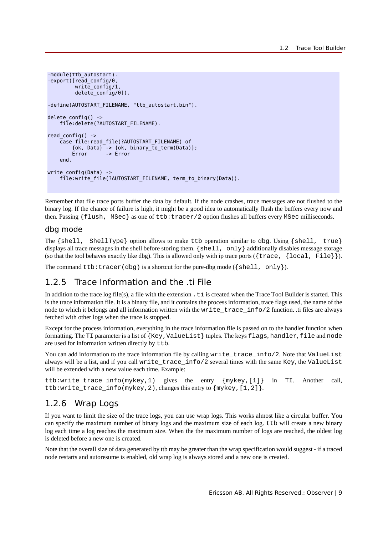```
-module(ttb autostart).
-export([read_config/0,
         write config/1,
          delete_config/0]).
-define(AUTOSTART_FILENAME, "ttb_autostart.bin").
delete config() ->
     file:delete(?AUTOSTART_FILENAME).
read_config() ->
     case file:read_file(?AUTOSTART_FILENAME) of
        \{ok, Data\} -> \{ok, binary_to_term(Data)\}; Error -> Error
     end.
write config(Data) ->
    \overline{file:write} file(?AUTOSTART_FILENAME, term_to_binary(Data)).
```
Remember that file trace ports buffer the data by default. If the node crashes, trace messages are not flushed to the binary log. If the chance of failure is high, it might be a good idea to automatically flush the buffers every now and then. Passing {flush, MSec} as one of ttb:tracer/2 option flushes all buffers every MSec milliseconds.

#### dbg mode

The  $\{shell,$  ShellType $\}$  option allows to make ttb operation similar to dbg. Using  $\{shell,$  true $\}$ displays all trace messages in the shell before storing them. {shell, only} additionally disables message storage (so that the tool behaves exactly like dbg). This is allowed only with ip trace ports ({ $\text{trace}$ , { $\text{local}$ , File}}).

The command  $ttb:trace(dbg)$  is a shortcut for the pure-dbg mode ({shell, only}).

# 1.2.5 Trace Information and the .ti File

In addition to the trace log file(s), a file with the extension . t i is created when the Trace Tool Builder is started. This is the trace information file. It is a binary file, and it contains the process information, trace flags used, the name of the node to which it belongs and all information written with the write trace info/2 function. .ti files are always fetched with other logs when the trace is stopped.

Except for the process information, everything in the trace information file is passed on to the handler function when formatting. The TI parameter is a list of {Key,ValueList} tuples. The keys flags, handler, file and node are used for information written directly by ttb.

You can add information to the trace information file by calling write\_trace\_info/2. Note that ValueList always will be a list, and if you call write trace info/2 several times with the same Key, the ValueList will be extended with a new value each time. Example:

ttb:write\_trace\_info(mykey,1) gives the entry {mykey,[1]} in TI. Another call, ttb:write\_trace\_info(mykey,2), changes this entry to {mykey,[1,2]}.

### 1.2.6 Wrap Logs

If you want to limit the size of the trace logs, you can use wrap logs. This works almost like a circular buffer. You can specify the maximum number of binary logs and the maximum size of each log. ttb will create a new binary log each time a log reaches the maximum size. When the the maximum number of logs are reached, the oldest log is deleted before a new one is created.

Note that the overall size of data generated by ttb may be greater than the wrap specification would suggest - if a traced node restarts and autoresume is enabled, old wrap log is always stored and a new one is created.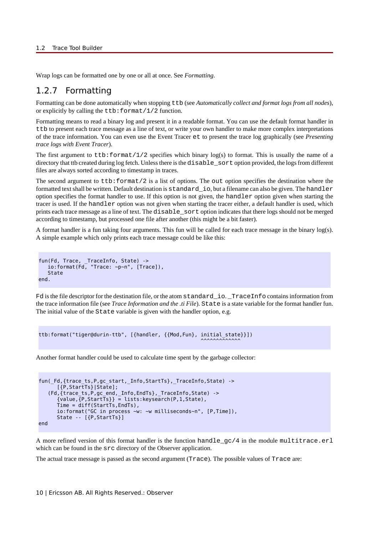Wrap logs can be formatted one by one or all at once. See *Formatting*.

### 1.2.7 Formatting

Formatting can be done automatically when stopping ttb (see *Automatically collect and format logs from all nodes*), or explicitly by calling the ttb:format/1/2 function.

Formatting means to read a binary log and present it in a readable format. You can use the default format handler in ttb to present each trace message as a line of text, or write your own handler to make more complex interpretations of the trace information. You can even use the Event Tracer et to present the trace log graphically (see *Presenting trace logs with Event Tracer*).

The first argument to  $tt\text{t}$ : format/1/2 specifies which binary log(s) to format. This is usually the name of a directory that ttb created during log fetch. Unless there is the disable\_sort option provided, the logs from different files are always sorted according to timestamp in traces.

The second argument to ttb:format/2 is a list of options. The out option specifies the destination where the formatted text shall be written. Default destination is standard\_io, but a filename can also be given. The handler option specifies the format handler to use. If this option is not given, the handler option given when starting the tracer is used. If the handler option was not given when starting the tracer either, a default handler is used, which prints each trace message as a line of text. The disable\_sort option indicates that there logs should not be merged according to timestamp, but processed one file after another (this might be a bit faster).

A format handler is a fun taking four arguments. This fun will be called for each trace message in the binary log(s). A simple example which only prints each trace message could be like this:

```
fun(Fd, Trace, _TraceInfo, State) ->
 io:format(Fd, "Trace: ~p~n", [Trace]),
    State
end.
```
Fd is the file descriptor for the destination file, or the atom standard\_io. \_TraceInfo contains information from the trace information file (see *Trace Information and the .ti File*). State is a state variable for the format handler fun. The initial value of the State variable is given with the handler option, e.g.

ttb:format("tiger@durin-ttb", [{handler, {{Mod,Fun}, initial\_state}}])  $\overline{\phantom{a}}^{0}$   $\overline{\phantom{a}}^{0}$   $\overline{\phantom{a}}^{0}$   $\overline{\phantom{a}}^{0}$   $\overline{\phantom{a}}^{0}$   $\overline{\phantom{a}}^{0}$   $\overline{\phantom{a}}^{0}$   $\overline{\phantom{a}}^{0}$   $\overline{\phantom{a}}^{0}$   $\overline{\phantom{a}}^{0}$   $\overline{\phantom{a}}^{0}$   $\overline{\phantom{a}}^{0}$   $\overline{\phantom{a}}^{0}$   $\overline{\phantom{a}}^{0}$   $\overline{\phantom{a}}^{$ 

Another format handler could be used to calculate time spent by the garbage collector:

```
fun( Fd,{trace ts, P, gc start, Info, StartTs}, TraceInfo, State) ->
       [{P,StartTs}|State];
    (Fd,{trace_ts,P,gc_end,_Info,EndTs},_TraceInfo,State) ->
       {value,{P,StartTs}} = lists:keysearch(P,1,State),
       Time = diff(StartTs,EndTs),
       io:format("GC in process ~w: ~w milliseconds~n", [P,Time]),
       State -- [{P,StartTs}]
end
```
A more refined version of this format handler is the function handle  $gc/4$  in the module multitrace.erl which can be found in the src directory of the Observer application.

The actual trace message is passed as the second argument (Trace). The possible values of Trace are: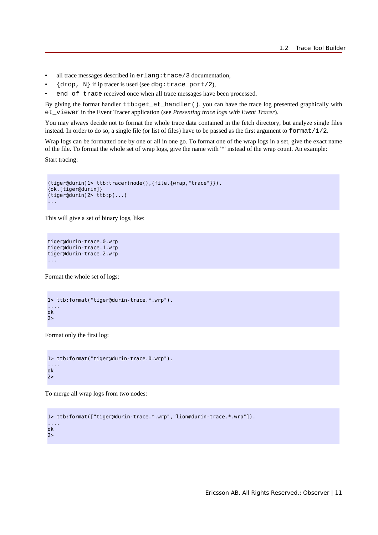- all trace messages described in erlang: trace/3 documentation,
- $\{drop, N\}$  if ip tracer is used (see dbg: trace\_port/2),
- end\_of\_trace received once when all trace messages have been processed.

By giving the format handler ttb:get\_et\_handler(), you can have the trace log presented graphically with et\_viewer in the Event Tracer application (see *Presenting trace logs with Event Tracer*).

You may always decide not to format the whole trace data contained in the fetch directory, but analyze single files instead. In order to do so, a single file (or list of files) have to be passed as the first argument to  $f_2/1/2$ .

Wrap logs can be formatted one by one or all in one go. To format one of the wrap logs in a set, give the exact name of the file. To format the whole set of wrap logs, give the name with '\*' instead of the wrap count. An example:

Start tracing:

```
(tiger@durin)1> ttb:tracer(node(),{file,{wrap,"trace"}}).
{ok,[tiger@durin]}
(tiger@durin)2> ttb:p(...)
...
```
This will give a set of binary logs, like:

```
tiger@durin-trace.0.wrp
tiger@durin-trace.1.wrp
tiger@durin-trace.2.wrp
...
```
Format the whole set of logs:

1> ttb:format("tiger@durin-trace.\*.wrp"). .... ok  $2>$ 

Format only the first log:

```
1> ttb:format("tiger@durin-trace.0.wrp").
....
ok
2>
```
To merge all wrap logs from two nodes:

```
1> ttb:format(["tiger@durin-trace.*.wrp","lion@durin-trace.*.wrp"]).
....
ok
2 >
```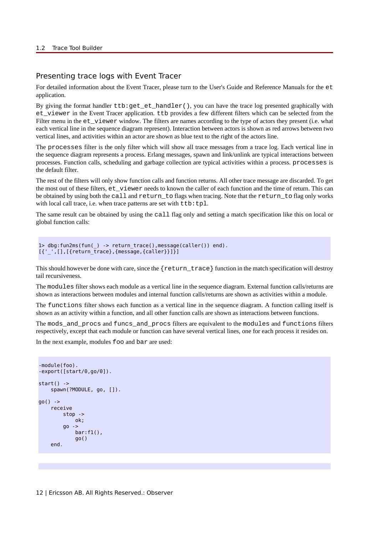#### Presenting trace logs with Event Tracer

For detailed information about the Event Tracer, please turn to the User's Guide and Reference Manuals for the et application.

By giving the format handler ttb:get\_et\_handler(), you can have the trace log presented graphically with et\_viewer in the Event Tracer application. ttb provides a few different filters which can be selected from the Filter menu in the et\_viewer window. The filters are names according to the type of actors they present (i.e. what each vertical line in the sequence diagram represent). Interaction between actors is shown as red arrows between two vertical lines, and activities within an actor are shown as blue text to the right of the actors line.

The processes filter is the only filter which will show all trace messages from a trace log. Each vertical line in the sequence diagram represents a process. Erlang messages, spawn and link/unlink are typical interactions between processes. Function calls, scheduling and garbage collection are typical activities within a process. processes is the default filter.

The rest of the filters will only show function calls and function returns. All other trace message are discarded. To get the most out of these filters, et\_viewer needs to known the caller of each function and the time of return. This can be obtained by using both the call and return to flags when tracing. Note that the return to flag only works with local call trace, i.e. when trace patterns are set with ttb:tpl.

The same result can be obtained by using the call flag only and setting a match specification like this on local or global function calls:

```
1> dbg:fun2ms(fun() -> return trace(),message(caller()) end).
[{'_',[],[{return_trace},{message,{caller}}]}]
```
This should however be done with care, since the  $\{return\_trace\}$  function in the match specification will destroy tail recursiveness.

The modules filter shows each module as a vertical line in the sequence diagram. External function calls/returns are shown as interactions between modules and internal function calls/returns are shown as activities within a module.

The functions filter shows each function as a vertical line in the sequence diagram. A function calling itself is shown as an activity within a function, and all other function calls are shown as interactions between functions.

The mods and procs and funcs and procs filters are equivalent to the modules and functions filters respectively, except that each module or function can have several vertical lines, one for each process it resides on.

In the next example, modules foo and bar are used:

```
-module(foo).
-export([start/0,go/0]).
start() ->
    spawn(?MODULE, go, []).
\cos(\theta) receive
          stop ->
              ok;
         q_0 ->
             bar: f1().
              go()
     end.
```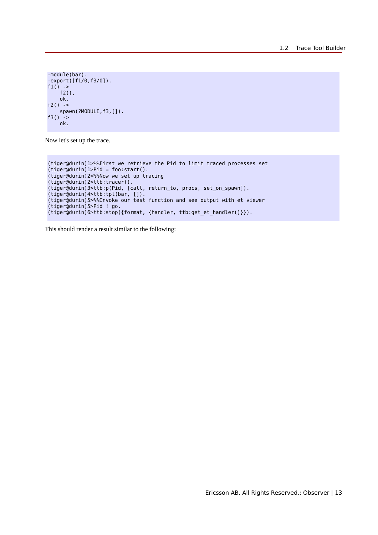```
-module(bar).
-export([f1/0,f3/0]).
f1() ->
    f2(),
     ok.
f2() ->
    spawn(?MODULE,f3,[]).
f3() ->
     ok.
```
Now let's set up the trace.

```
(tiger@durin)1>%%First we retrieve the Pid to limit traced processes set
(tiger@durin)1>Pid = foo:start().
(tiger@durin)2>%%Now we set up tracing
(tiger@durin)2>ttb:tracer().
(tiger@durin)3>ttb:p(Pid, [call, return_to, procs, set_on_spawn]).
(tiger@durin)4>ttb:tpl(bar, []).
(tiger@durin)5>%%Invoke our test function and see output with et viewer
(tiger@durin)5>Pid ! go.
(tiger@durin)6>ttb:stop({format, {handler, ttb:get_et_handler()}}).
```
This should render a result similar to the following: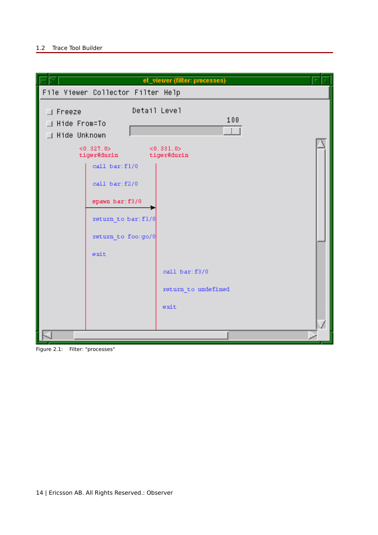

Figure 2.1: Filter: "processes"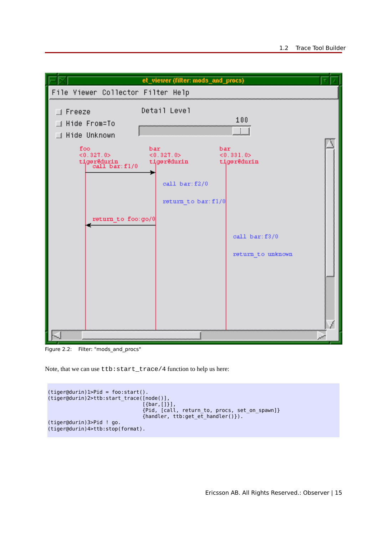

Figure 2.2: Filter: "mods and procs"

Note, that we can use ttb: start\_trace/4 function to help us here:

```
(tiger@durin)1>Pid = foo:start().
(tiger@durin)2>ttb:start_trace([node()],
                          [{bar,[]}],
 {Pid, [call, return_to, procs, set_on_spawn]}
 {handler, ttb:get_et_handler()}).
(tiger@durin)3>Pid ! go.
(tiger@durin)4>ttb:stop(format).
```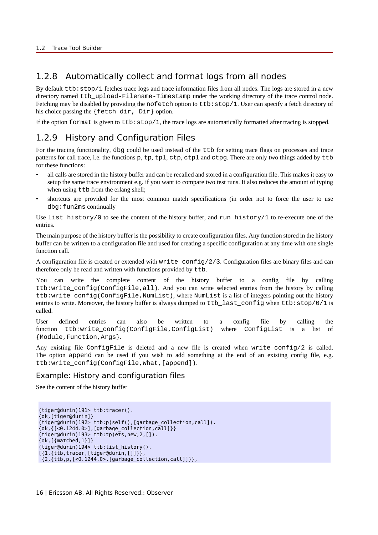## 1.2.8 Automatically collect and format logs from all nodes

By default ttb:stop/1 fetches trace logs and trace information files from all nodes. The logs are stored in a new directory named ttb upload-Filename-Timestamp under the working directory of the trace control node. Fetching may be disabled by providing the nofetch option to ttb: stop/1. User can specify a fetch directory of his choice passing the {fetch dir, Dir} option.

If the option format is given to ttb:  $stop/1$ , the trace logs are automatically formatted after tracing is stopped.

## 1.2.9 History and Configuration Files

For the tracing functionality, dbg could be used instead of the ttb for setting trace flags on processes and trace patterns for call trace, i.e. the functions p, tp, tpl, ctp, ctpl and ctpg. There are only two things added by ttb for these functions:

- all calls are stored in the history buffer and can be recalled and stored in a configuration file. This makes it easy to setup the same trace environment e.g. if you want to compare two test runs. It also reduces the amount of typing when using ttb from the erlang shell;
- shortcuts are provided for the most common match specifications (in order not to force the user to use dbg:fun2ms continually

Use list\_history/0 to see the content of the history buffer, and run\_history/1 to re-execute one of the entries.

The main purpose of the history buffer is the possibility to create configuration files. Any function stored in the history buffer can be written to a configuration file and used for creating a specific configuration at any time with one single function call.

A configuration file is created or extended with write  $\text{confiq}/2/3$ . Configuration files are binary files and can therefore only be read and written with functions provided by ttb.

You can write the complete content of the history buffer to a config file by calling ttb:write\_config(ConfigFile,all). And you can write selected entries from the history by calling ttb:write\_config(ConfigFile,NumList), where NumList is a list of integers pointing out the history entries to write. Moreover, the history buffer is always dumped to ttb last config when ttb:stop/0/1 is called.

User defined entries can also be written to a config file by calling the function ttb:write\_config(ConfigFile,ConfigList) where ConfigList is a list of {Module,Function,Args}.

Any existing file ConfigFile is deleted and a new file is created when write  $\text{config/2}$  is called. The option append can be used if you wish to add something at the end of an existing config file, e.g. ttb:write\_config(ConfigFile,What,[append]).

#### Example: History and configuration files

See the content of the history buffer

```
(tiger@durin)191> ttb:tracer(). 
{ok,[tiger@durin]}
(tiger@durin)192> ttb:p(self(),[garbage_collection,call]). 
{ok,{[<0.1244.0>],[garbage_collection,call]}}
(tiger@durin)193> ttb:tp(ets,new,2,[]).
{ok,[{matched,1}]}
(tiger@durin)194> ttb:list_history().
[{1,{ttb,tracer,[tiger@durin,[]]}},
 {2,{ttb,p,[<0.1244.0>,[garbage_collection,call]]}},
```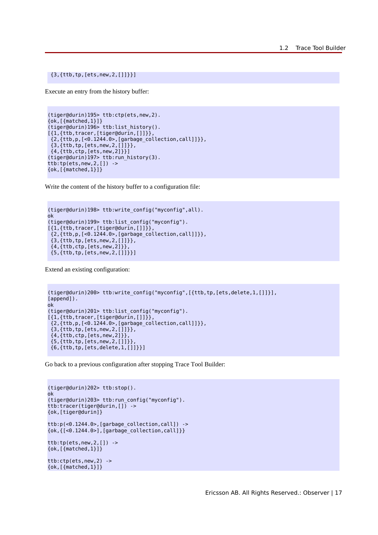#### {3,{ttb,tp,[ets,new,2,[]]}}]

Execute an entry from the history buffer:

```
(tiger@durin)195> ttb:ctp(ets,new,2).
{ok,[{matched,1}]}
(tiger@durin)196> ttb:list_history().
[{1},{ttb, tracer, [tiger@durIn, []]}],
 {2,{ttb,p,[<0.1244.0>,[garbage_collection,call]]}},
 {3,{ttb,tp,[ets,new,2,[]]}},
 {4,{ttb,ctp,[ets,new,2]}}]
(tiger@durin)197> ttb:run_history(3).
ttb:tp(ets,new,2,[]) ->
{ok,[{matched,1}]}
```
Write the content of the history buffer to a configuration file:

```
(tiger@durin)198> ttb:write_config("myconfig",all).
ok
(tiger@durin)199> ttb:list_config("myconfig").
[{1,{ttb,tracer,[tiger@durin,[]]}}
  {2,{ttb,p,[<0.1244.0>,[garbage_collection,call]]}},
  {3,{ttb,tp,[ets,new,2,[]]}},
  {4,{ttb,ctp,[ets,new,2]}},
  {5,{ttb,tp,[ets,new,2,[]]}}]
```
Extend an existing configuration:

```
(tiger@durin)200> ttb:write_config("myconfig",[{ttb,tp,[ets,delete,1,[]]}],
[append]).
ok
(tiger@durin)201> ttb:list_config("myconfig").
[{1},{ttb, tracer,[tiger@durin,[]]}] {2,{ttb,p,[<0.1244.0>,[garbage_collection,call]]}},
 {3,{ttb,tp,[ets,new,2,[]]}},
 {4,{ttb,ctp,[ets,new,2]}},
 {5,{ttb,tp,[ets,new,2,[]]}},
 {6,{ttb,tp,[ets,delete,1,[]]}}]
```
Go back to a previous configuration after stopping Trace Tool Builder:

```
(tiger@durin)202> ttb:stop().
ok
(tiger@durin)203> ttb:run_config("myconfig").
ttb:tracer(tiger@durin, \boxed{)} ->
{ok,[tiger@durin]}
ttb:p(<0.1244.0>,[garbage_collection,call]) ->
{ok,{[<0.1244.0>],[garbage_collection,call]}}
ttb:tp(ets,new,2,[]) ->
{ok,[{matched,1}]}
ttb:ctp(ets,new,2) ->
{ok,[{matched,1}]}
```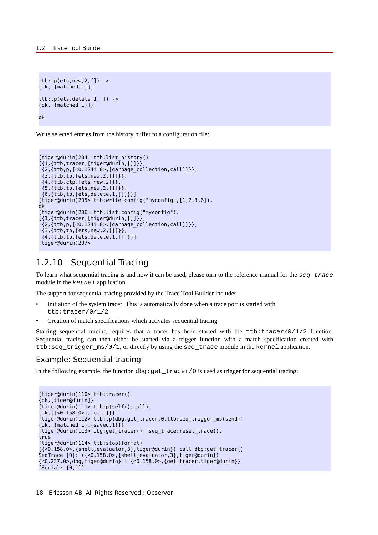```
ttb:tp(ets,new,2,[]) ->
{ok,[{matched,1}]}
ttb:tp(ets,delete,1,[]) ->
{ok,[{matched,1}]}
ok
```
Write selected entries from the history buffer to a configuration file:

```
(tiger@durin)204> ttb:list_history(). 
[{1,{ttb,tracer,[tiger@durin,[]]}},
 {2,{ttb,p,[<0.1244.0>,[garbage_collection,call]]}},
 {3,{ttb,tp,[ets,new,2,[]]}},
 {4,{ttb,ctp,[ets,new,2]}},
 {5,{ttb,tp,[ets,new,2,[]]}},
 {6,{ttb,tp,[ets,delete,1,[]]}}]
(tiger@durin)205> ttb:write_config("myconfig",[1,2,3,6]).
ok
(tiger@durin)206> ttb:list_config("myconfig").
[{1,{ttb,tracer,[tiger@durin,[]]}},
 {2,{ttb,p,[<0.1244.0>,[garbage_collection,call]]}},
 {3,{ttb,tp,[ets,new,2,[]]}},
 {4,{ttb,tp,[ets,delete,1,[]]}}]
(tiger@durin)207>
```
#### 1.2.10 Sequential Tracing

To learn what sequential tracing is and how it can be used, please turn to the reference manual for the seq  $trace$ module in the kernel application.

The support for sequential tracing provided by the Trace Tool Builder includes

- Initiation of the system tracer. This is automatically done when a trace port is started with ttb:tracer/0/1/2
- Creation of match specifications which activates sequential tracing

Starting sequential tracing requires that a tracer has been started with the  $ttb:trace/0/1/2$  function. Sequential tracing can then either be started via a trigger function with a match specification created with ttb:seq\_trigger\_ms/0/1, or directly by using the seq\_trace module in the kernel application.

#### Example: Sequential tracing

In the following example, the function  $dbq:qet\tt trace<sub>T</sub>/0$  is used as trigger for sequential tracing:

```
(tiger@durin)110> ttb:tracer(). 
{ok,[tiger@durin]}
(tiger@durin)111> ttb:p(self(),call). 
{ok,{[<0.158.0>],[call]}}
(tiger@durin)112> ttb:tp(dbg,get_tracer,0,ttb:seq_trigger_ms(send)).
{ok,[{matched,1},{saved,1}]}
(tiger@durin)113> dbg:get_tracer(), seq_trace:reset_trace(). 
true
(tiger@durin)114> ttb:stop(format).
({<0.158.0>,{shell,evaluator,3},tiger@durin}) call dbg:get_tracer()
SeqTrace [0]: ({<0.158.0>,{shell,evaluator,3},tiger@durin}) 
{<0.237.0>,dbg,tiger@durin} ! {<0.158.0>,{get_tracer,tiger@durin}} 
[Serial: {0,1}]
```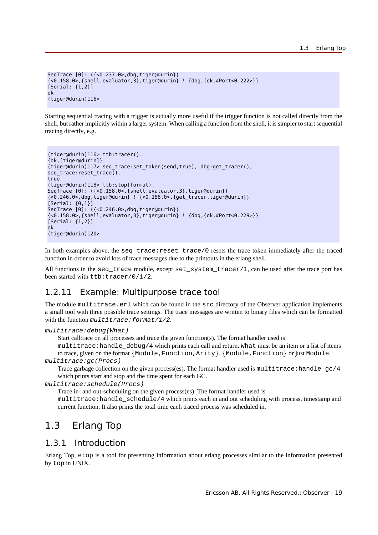```
SeqTrace [0]: ({<0.237.0>,dbg,tiger@durin}) 
{<0.158.0>,{shell,evaluator,3},tiger@durin} ! {dbg,{ok,#Port<0.222>}} 
[Serial: {1,2}]
ok
(tiger@durin)116>
```
Starting sequential tracing with a trigger is actually more useful if the trigger function is not called directly from the shell, but rather implicitly within a larger system. When calling a function from the shell, it is simpler to start sequential tracing directly, e.g.

```
(tiger@durin)116> ttb:tracer(). 
{ok,[tiger@durin]}
(tiger@durin)117> seq_trace:set_token(send,true), dbg:get_tracer(), 
seq trace: reset trace().
true
(tiger@durin)118> ttb:stop(format).
SeqTrace [0]: ({<0.158.0>,{shell,evaluator,3},tiger@durin}) 
{<0.246.0>,dbg,tiger@durin} ! {<0.158.0>,{get_tracer,tiger@durin}} 
[Serial: {0,1}]
SeqTrace [0]: ({<0.246.0>,dbg,tiger@durin}) 
{<0.158.0>,{shell,evaluator,3},tiger@durin} ! {dbg,{ok,#Port<0.229>}} 
[Serial: {1,2}]
ok
(tiger@durin)120>
```
In both examples above, the seq\_trace:reset\_trace/0 resets the trace token immediately after the traced function in order to avoid lots of trace messages due to the printouts in the erlang shell.

All functions in the seq trace module, except set system  $\text{trace}/1$ , can be used after the trace port has been started with ttb:tracer/0/1/2.

### 1.2.11 Example: Multipurpose trace tool

The module multitrace.erl which can be found in the src directory of the Observer application implements a small tool with three possible trace settings. The trace messages are written to binary files which can be formatted with the function  $multipitate:format/1/2$ .

```
multitrace:debug(What)
```
Start calltrace on all processes and trace the given function(s). The format handler used is

multitrace: handle\_debug/4 which prints each call and return. What must be an item or a list of items to trace, given on the format  ${Module}$ , Function, Arity $}, {Module}$ , Function $}$  or just Module.

multitrace:gc(Procs)

Trace garbage collection on the given process(es). The format handler used is multitrace:handle\_gc/4 which prints start and stop and the time spent for each GC.

multitrace:schedule(Procs)

Trace in- and out-scheduling on the given process(es). The format handler used is

multitrace:handle\_schedule/4 which prints each in and out scheduling with process, timestamp and current function. It also prints the total time each traced process was scheduled in.

# 1.3 Erlang Top

### 1.3.1 Introduction

Erlang Top, etop is a tool for presenting information about erlang processes similar to the information presented by top in UNIX.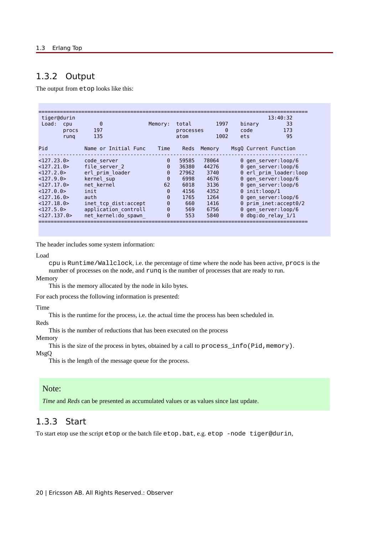### 1.3.2 Output

The output from etop looks like this:

| tiger@durin     |       |                      |  |          |           |        | 13:40:32 |                       |                                      |  |
|-----------------|-------|----------------------|--|----------|-----------|--------|----------|-----------------------|--------------------------------------|--|
| Load:           | cpu   | $\Theta$             |  | Memory:  | total     | 1997   |          | binary                | 33                                   |  |
|                 | procs | 197                  |  |          | processes | 0      |          | code                  | 173                                  |  |
|                 | rung  | 135                  |  |          | atom      | 1002   | ets      |                       | 95                                   |  |
| Pid             |       | Name or Initial Func |  | Time     | Reds      | Memory |          |                       | MsqQ Current Function                |  |
| $<$ 127.23.0>   |       | code server          |  | $\Theta$ | 59585     | 78064  |          |                       | 0 gen server: loop/6                 |  |
| $<$ 127.21.0>   |       | file server 2        |  | $\Theta$ | 36380     | 44276  |          |                       | 0 gen server: loop/6                 |  |
| <127.2.0>       |       | erl prim loader      |  | $\Theta$ | 27962     | 3740   |          |                       | 0 erl prim loader:loop               |  |
| <127.9.0>       |       | kernel sup           |  | $\Theta$ | 6998      | 4676   |          |                       | 0 gen server: loop/6                 |  |
| $<$ 127.17.0>   |       | net kernel           |  | 62       | 6018      | 3136   |          |                       | 0 gen server: loop/6                 |  |
| <127.0.0>       |       | init                 |  | 0        | 4156      | 4352   |          | $\theta$ init: loop/1 |                                      |  |
| $<$ 127.16.0>   |       | auth                 |  | $\Theta$ | 1765      | 1264   |          |                       | 0 gen server: loop/6                 |  |
| $<$ 127.18.0>   |       | inet tcp dist:accept |  | $\Theta$ | 660       | 1416   |          |                       | $\theta$ prim inet:accept $\theta/2$ |  |
| $<$ 127.5.0 $>$ |       | application controll |  | $\Theta$ | 569       | 6756   |          |                       | 0 gen server: loop/6                 |  |
| $<$ 127.137.0>  |       | net kernel:do spawn  |  | $\Theta$ | 553       | 5840   |          |                       | $\theta$ dbg:do relay $1/1$          |  |

The header includes some system information:

Load

cpu is Runtime/Wallclock, i.e. the percentage of time where the node has been active, procs is the number of processes on the node, and runq is the number of processes that are ready to run.

Memory

This is the memory allocated by the node in kilo bytes.

For each process the following information is presented:

Time

This is the runtime for the process, i.e. the actual time the process has been scheduled in.

Reds

This is the number of reductions that has been executed on the process

Memory

This is the size of the process in bytes, obtained by a call to process\_info(Pid,memory).

MsgQ

This is the length of the message queue for the process.

#### Note:

*Time* and *Reds* can be presented as accumulated values or as values since last update.

# 1.3.3 Start

To start etop use the script etop or the batch file etop.bat, e.g. etop -node tiger@durin,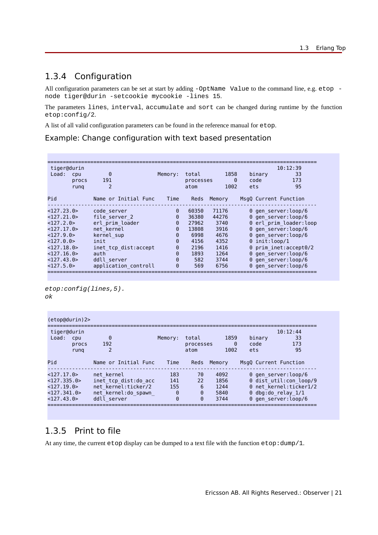# 1.3.4 Configuration

All configuration parameters can be set at start by adding -OptName Value to the command line, e.g. etop node tiger@durin -setcookie mycookie -lines 15.

The parameters lines, interval, accumulate and sort can be changed during runtime by the function etop:config/2.

A list of all valid configuration parameters can be found in the reference manual for etop.

Example: Change configuration with text based presentation

| tiger@durin<br>10:12:39 |                      |          |           |        |                       |                                      |
|-------------------------|----------------------|----------|-----------|--------|-----------------------|--------------------------------------|
| Load:<br>cpu            | 0                    | Memory:  | total     | 1858   | binary                | 33                                   |
| procs                   | 191                  |          | processes | 0      | code                  | 173                                  |
| rung                    | 2                    |          | atom      | 1002   | ets                   | 95                                   |
| Pid                     | Name or Initial Func | Time     | Reds      | Memory | MsgQ Current Function |                                      |
| $<$ 127.23.0>           | code server          | $\Theta$ | 60350     | 71176  |                       | 0 gen server: loop/6                 |
| $<$ 127.21.0>           | file server 2        | $\Theta$ | 36380     | 44276  |                       | 0 gen server: loop/6                 |
| <127.2.0>               | erl prim loader      | $\Theta$ | 27962     | 3740   |                       | 0 erl prim loader: loop              |
| $<$ 127.17.0>           | net kernel           | $\Theta$ | 13808     | 3916   |                       | 0 gen server: loop/6                 |
| $<$ 127.9.0 $>$         | kernel sup           | 0        | 6998      | 4676   |                       | 0 gen server: loop/6                 |
| $<$ 127.0.0>            | init                 | $\Theta$ | 4156      | 4352   | $0$ init: loop/1      |                                      |
| $<$ 127.18.0>           | inet tcp dist:accept | $\Theta$ | 2196      | 1416   |                       | $\theta$ prim inet:accept $\theta/2$ |
| $<$ 127.16.0>           | auth                 | 0        | 1893      | 1264   |                       | 0 gen server: loop/6                 |
| $<$ 127.43.0>           | ddll server          | 0        | 582       | 3744   |                       | 0 gen server: loop/6                 |
| $<$ 127.5.0>            | application controll | 0        | 569       | 6756   |                       | 0 gen server: loop/6                 |
|                         |                      |          |           |        |                       |                                      |

etop:config(lines,5). ok

|                                      | $(etop@durin)$ 2> |                       |         |           |                        |                       |                             |
|--------------------------------------|-------------------|-----------------------|---------|-----------|------------------------|-----------------------|-----------------------------|
| tiger@durin                          |                   |                       |         |           |                        | 10:12:44              |                             |
|                                      | Load:<br>cpu      | $\Theta$              | Memory: | total     | 1859                   | binary                | 33                          |
|                                      | procs             | 192                   |         | processes | $\Theta$               | code                  | 173                         |
|                                      | runa              |                       |         | atom      | 1002                   | ets                   | 95                          |
|                                      | Pid               | Name or Initial Func  | Time    | Reds      | Memory                 | MsgQ Current Function |                             |
|                                      | $<$ 127.17.0>     | net kernel            | 183     | 70        | 4092                   |                       | 0 gen server: loop/6        |
| $<$ 127.335.0>                       |                   | inet tcp dist: do acc | 141     | 22        | 1856                   |                       | 0 dist util: con loop/9     |
| net kernel:ticker/2<br>$<$ 127.19.0> |                   | 155                   | 6       | 1244      | 0 net kernel:ticker1/2 |                       |                             |
|                                      | $<$ 127.341.0>    | net kernel: do spawn  | 0       | $\Theta$  | 5840                   |                       | $\theta$ dbg:do relay $1/1$ |
| $<$ 127.43.0>                        |                   | ddll server           | 0       | $\Theta$  | 3744                   |                       | 0 gen server: loop/6        |
|                                      |                   |                       |         |           |                        |                       |                             |

### 1.3.5 Print to file

At any time, the current etop display can be dumped to a text file with the function etop:dump/1.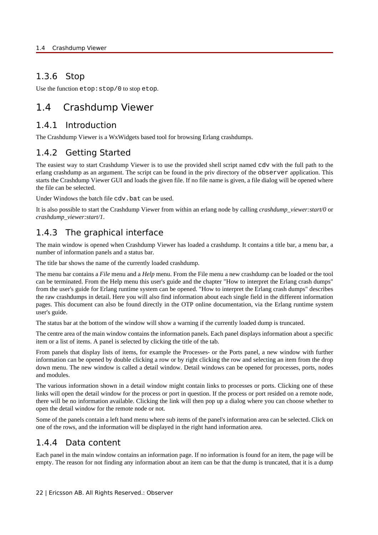# 1.3.6 Stop

Use the function etop:stop/0 to stop etop.

# 1.4 Crashdump Viewer

## 1.4.1 Introduction

The Crashdump Viewer is a WxWidgets based tool for browsing Erlang crashdumps.

# 1.4.2 Getting Started

The easiest way to start Crashdump Viewer is to use the provided shell script named cdv with the full path to the erlang crashdump as an argument. The script can be found in the priv directory of the observer application. This starts the Crashdump Viewer GUI and loads the given file. If no file name is given, a file dialog will be opened where the file can be selected.

Under Windows the batch file cdv.bat can be used.

It is also possible to start the Crashdump Viewer from within an erlang node by calling *crashdump\_viewer:start/0* or *crashdump\_viewer:start/1*.

# 1.4.3 The graphical interface

The main window is opened when Crashdump Viewer has loaded a crashdump. It contains a title bar, a menu bar, a number of information panels and a status bar.

The title bar shows the name of the currently loaded crashdump.

The menu bar contains a *File* menu and a *Help* menu. From the File menu a new crashdump can be loaded or the tool can be terminated. From the Help menu this user's guide and the chapter "How to interpret the Erlang crash dumps" from the user's guide for Erlang runtime system can be opened. "How to interpret the Erlang crash dumps" describes the raw crashdumps in detail. Here you will also find information about each single field in the different information pages. This document can also be found directly in the OTP online documentation, via the Erlang runtime system user's guide.

The status bar at the bottom of the window will show a warning if the currently loaded dump is truncated.

The centre area of the main window contains the information panels. Each panel displays information about a specific item or a list of items. A panel is selected by clicking the title of the tab.

From panels that display lists of items, for example the Processes- or the Ports panel, a new window with further information can be opened by double clicking a row or by right clicking the row and selecting an item from the drop down menu. The new window is called a detail window. Detail windows can be opened for processes, ports, nodes and modules.

The various information shown in a detail window might contain links to processes or ports. Clicking one of these links will open the detail window for the process or port in question. If the process or port resided on a remote node, there will be no information available. Clicking the link will then pop up a dialog where you can choose whether to open the detail window for the remote node or not.

Some of the panels contain a left hand menu where sub items of the panel's information area can be selected. Click on one of the rows, and the information will be displayed in the right hand information area.

# 1.4.4 Data content

Each panel in the main window contains an information page. If no information is found for an item, the page will be empty. The reason for not finding any information about an item can be that the dump is truncated, that it is a dump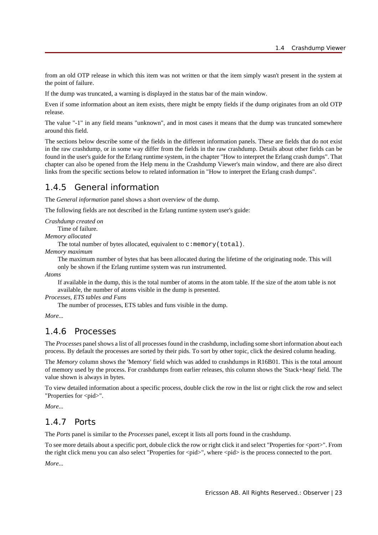from an old OTP release in which this item was not written or that the item simply wasn't present in the system at the point of failure.

If the dump was truncated, a warning is displayed in the status bar of the main window.

Even if some information about an item exists, there might be empty fields if the dump originates from an old OTP release.

The value "-1" in any field means "unknown", and in most cases it means that the dump was truncated somewhere around this field.

The sections below describe some of the fields in the different information panels. These are fields that do not exist in the raw crashdump, or in some way differ from the fields in the raw crashdump. Details about other fields can be found in the user's guide for the Erlang runtime system, in the chapter "How to interpret the Erlang crash dumps". That chapter can also be opened from the Help menu in the Crashdump Viewer's main window, and there are also direct links from the specific sections below to related information in "How to interpret the Erlang crash dumps".

#### 1.4.5 General information

The *General information* panel shows a short overview of the dump.

The following fields are not described in the Erlang runtime system user's guide:

*Crashdump created on*

Time of failure.

*Memory allocated*

The total number of bytes allocated, equivalent to  $c:memory(total)$ .

*Memory maximum*

The maximum number of bytes that has been allocated during the lifetime of the originating node. This will only be shown if the Erlang runtime system was run instrumented.

*Atoms*

If available in the dump, this is the total number of atoms in the atom table. If the size of the atom table is not available, the number of atoms visible in the dump is presented.

*Processes, ETS tables and Funs*

The number of processes, ETS tables and funs visible in the dump.

*More...*

#### 1.4.6 Processes

The *Processes* panel shows a list of all processes found in the crashdump, including some short information about each process. By default the processes are sorted by their pids. To sort by other topic, click the desired column heading.

The *Memory* column shows the 'Memory' field which was added to crashdumps in R16B01. This is the total amount of memory used by the process. For crashdumps from earlier releases, this column shows the 'Stack+heap' field. The value shown is always in bytes.

To view detailed information about a specific process, double click the row in the list or right click the row and select "Properties for <pid>".

*More...*

#### 1.4.7 Ports

The *Ports* panel is similar to the *Processes* panel, except it lists all ports found in the crashdump.

To see more details about a specific port, dobule click the row or right click it and select "Properties for  $\leq$  port>". From the right click menu you can also select "Properties for  $\langle pid\rangle$ ", where  $\langle pid\rangle$  is the process connected to the port.

*More...*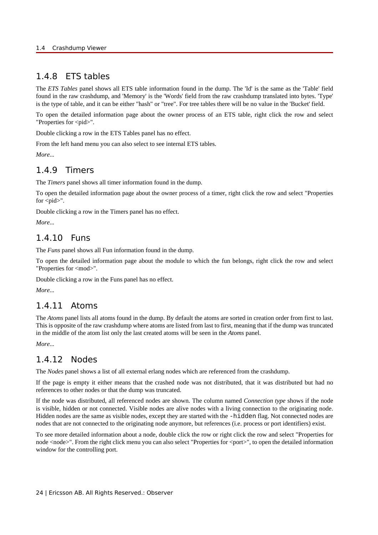# 1.4.8 ETS tables

The *ETS Tables* panel shows all ETS table information found in the dump. The 'Id' is the same as the 'Table' field found in the raw crashdump, and 'Memory' is the 'Words' field from the raw crashdump translated into bytes. 'Type' is the type of table, and it can be either "hash" or "tree". For tree tables there will be no value in the 'Bucket' field.

To open the detailed information page about the owner process of an ETS table, right click the row and select "Properties for <pid>".

Double clicking a row in the ETS Tables panel has no effect.

From the left hand menu you can also select to see internal ETS tables.

*More...*

### 1.4.9 Timers

The *Timers* panel shows all timer information found in the dump.

To open the detailed information page about the owner process of a timer, right click the row and select "Properties for  $\langle pid \rangle$ ".

Double clicking a row in the Timers panel has no effect.

*More...*

### 1.4.10 Funs

The *Funs* panel shows all Fun information found in the dump.

To open the detailed information page about the module to which the fun belongs, right click the row and select "Properties for <mod>".

Double clicking a row in the Funs panel has no effect.

*More...*

### 1.4.11 Atoms

The *Atoms* panel lists all atoms found in the dump. By default the atoms are sorted in creation order from first to last. This is opposite of the raw crashdump where atoms are listed from last to first, meaning that if the dump was truncated in the middle of the atom list only the last created atoms will be seen in the *Atoms* panel.

*More...*

### 1.4.12 Nodes

The *Nodes* panel shows a list of all external erlang nodes which are referenced from the crashdump.

If the page is empty it either means that the crashed node was not distributed, that it was distributed but had no references to other nodes or that the dump was truncated.

If the node was distributed, all referenced nodes are shown. The column named *Connection type* shows if the node is visible, hidden or not connected. Visible nodes are alive nodes with a living connection to the originating node. Hidden nodes are the same as visible nodes, except they are started with the -hidden flag. Not connected nodes are nodes that are not connected to the originating node anymore, but references (i.e. process or port identifiers) exist.

To see more detailed information about a node, double click the row or right click the row and select "Properties for node <node>". From the right click menu you can also select "Properties for <port>", to open the detailed information window for the controlling port.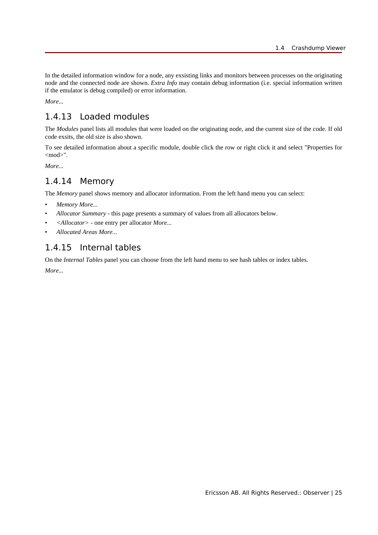In the detailed information window for a node, any exsisting links and monitors between processes on the originating node and the connected node are shown. *Extra Info* may contain debug information (i.e. special information written if the emulator is debug compiled) or error information.

*More...*

# 1.4.13 Loaded modules

The *Modules* panel lists all modules that were loaded on the originating node, and the current size of the code. If old code exsits, the old size is also shown.

To see detailed information about a specific module, double click the row or right click it and select "Properties for <mod>".

*More...*

# 1.4.14 Memory

The *Memory* panel shows memory and allocator information. From the left hand menu you can select:

- *Memory More...*
- *Allocator Summary* this page presents a summary of values from all allocators below.
- *<Allocator>* one entry per allocator *More...*
- *Allocated Areas More...*

# 1.4.15 Internal tables

On the *Internal Tables* panel you can choose from the left hand menu to see hash tables or index tables. *More...*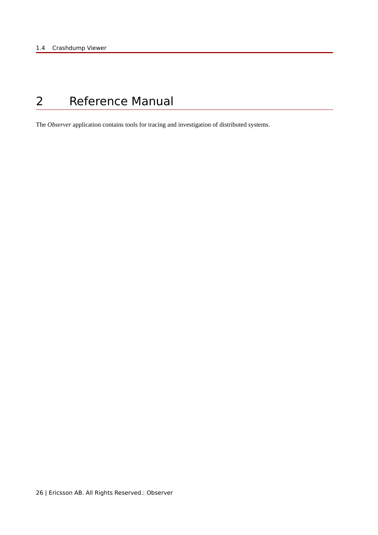# 2 Reference Manual

The *Observer* application contains tools for tracing and investigation of distributed systems.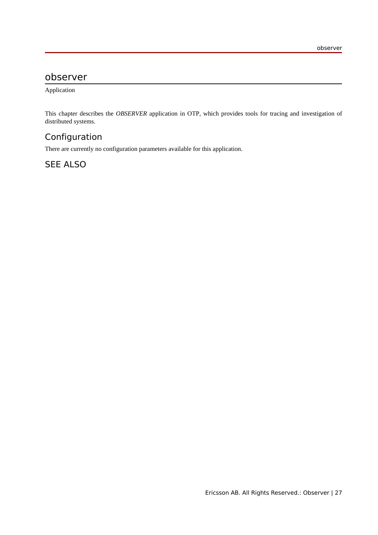# observer

Application

This chapter describes the *OBSERVER* application in OTP, which provides tools for tracing and investigation of distributed systems.

# Configuration

There are currently no configuration parameters available for this application.

# SEE ALSO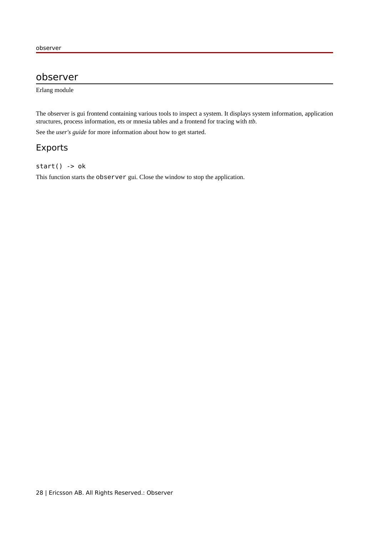# observer

Erlang module

The observer is gui frontend containing various tools to inspect a system. It displays system information, application structures, process information, ets or mnesia tables and a frontend for tracing with *ttb*.

See the *user's guide* for more information about how to get started.

### Exports

start() -> ok

This function starts the observer gui. Close the window to stop the application.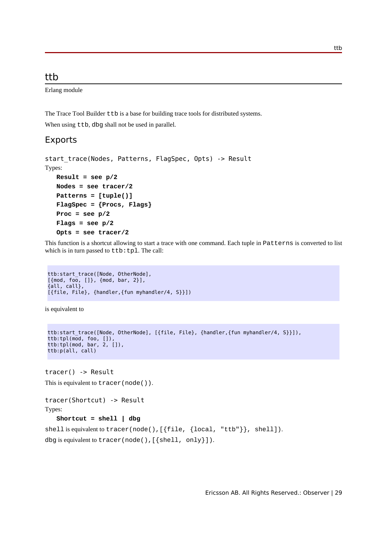#### ttb

Erlang module

The Trace Tool Builder  $ttb$  is a base for building trace tools for distributed systems.

When using ttb, dbg shall not be used in parallel.

### Exports

```
start trace(Nodes, Patterns, FlagSpec, Opts) -> Result
Types:
   Result = see p/2
   Nodes = see tracer/2
   Patterns = [tuple()]
   FlagSpec = {Procs, Flags}
   Proc = see p/2
   Flags = see p/2
   Opts = see tracer/2
```
This function is a shortcut allowing to start a trace with one command. Each tuple in Patterns is converted to list which is in turn passed to  $ttb:tp1$ . The call:

```
ttb:start_trace([Node, OtherNode],
[{mod, foo, []}, {mod, bar, 2}],
{all, call},
[{file, File}, {handler,{fun myhandler/4, S}}])
```
is equivalent to

```
ttb:start_trace([Node, OtherNode], [{file, File}, {handler,{fun myhandler/4, S}}]),
ttb:tpl(mod, foo, []),
ttb:tpl(mod, bar, 2, []),
ttb:p(all, call)
```
tracer() -> Result

This is equivalent to tracer(node()).

```
tracer(Shortcut) -> Result
Types:
```
**Shortcut = shell | dbg**

```
shell is equivalent to tracer(node(),[{file, {local, "ttb"}}, shell]).
dbg is equivalent to tracer(node(),[{shell, only}]).
```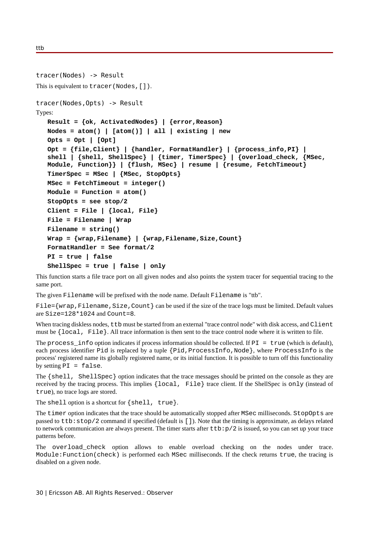```
ttb
```

```
tracer(Nodes) -> Result
This is equivalent to tracer(Nodes, []).
tracer(Nodes,Opts) -> Result
Types:
   Result = {ok, ActivatedNodes} | {error,Reason}
   Nodes = atom() | [atom()] | all | existing | new
   Opts = Opt | [Opt]
   Opt = {file,Client} | {handler, FormatHandler} | {process_info,PI} |
   shell | {shell, ShellSpec} | {timer, TimerSpec} | {overload_check, {MSec,
   Module, Function}} | {flush, MSec} | resume | {resume, FetchTimeout}
   TimerSpec = MSec | {MSec, StopOpts}
   MSec = FetchTimeout = integer()
   Module = Function = atom()
   StopOpts = see stop/2
   Client = File | {local, File}
   File = Filename | Wrap
   Filename = string()
   Wrap = {wrap,Filename} | {wrap,Filename,Size,Count}
   FormatHandler = See format/2
   PI = true | false
   ShellSpec = true | false | only
```
This function starts a file trace port on all given nodes and also points the system tracer for sequential tracing to the same port.

The given Filename will be prefixed with the node name. Default Filename is "ttb".

 $File={\{wrap, Filename, Size, Count\}} can be used if the size of the trace logs must be limited. Default values$ are Size=128\*1024 and Count=8.

When tracing diskless nodes, ttb must be started from an external "trace control node" with disk access, and Client must be {local, File}. All trace information is then sent to the trace control node where it is written to file.

The process\_info option indicates if process information should be collected. If  $PI = true$  (which is default), each process identifier Pid is replaced by a tuple {Pid,ProcessInfo,Node}, where ProcessInfo is the process' registered name its globally registered name, or its initial function. It is possible to turn off this functionality by setting  $PI = false$ .

The {shell, ShellSpec} option indicates that the trace messages should be printed on the console as they are received by the tracing process. This implies {local, File} trace client. If the ShellSpec is only (instead of true), no trace logs are stored.

The shell option is a shortcut for  $\{shell, \text{true}\}.$ 

The timer option indicates that the trace should be automatically stopped after MSec milliseconds. StopOpts are passed to ttb:stop/2 command if specified (default is []). Note that the timing is approximate, as delays related to network communication are always present. The timer starts after  $ttb:p/2$  is issued, so you can set up your trace patterns before.

The overload\_check option allows to enable overload checking on the nodes under trace. Module:Function(check) is performed each MSec milliseconds. If the check returns true, the tracing is disabled on a given node.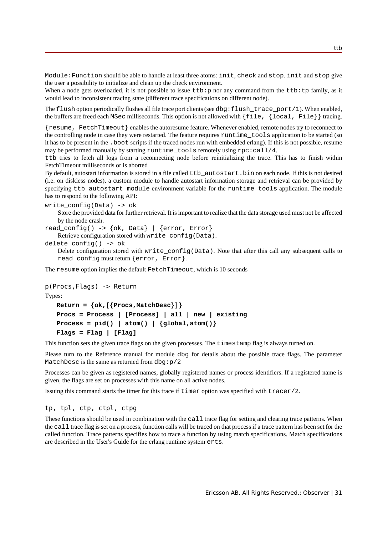Module:Function should be able to handle at least three atoms: init, check and stop. init and stop give the user a possibility to initialize and clean up the check environment.

When a node gets overloaded, it is not possible to issue  $ttb:$  p nor any command from the  $ttb:$  tp family, as it would lead to inconsistent tracing state (different trace specifications on different node).

The flush option periodically flushes all file trace port clients (see dbg: flush trace port/1). When enabled, the buffers are freed each MSec milliseconds. This option is not allowed with  $\{\text{file}, \{\text{local}, \text{File}\}\}\$  tracing.

{resume, FetchTimeout} enables the autoresume feature. Whenever enabled, remote nodes try to reconnect to the controlling node in case they were restarted. The feature requires runtime\_tools application to be started (so it has to be present in the .boot scripts if the traced nodes run with embedded erlang). If this is not possible, resume may be performed manually by starting runtime\_tools remotely using rpc:call/4.

ttb tries to fetch all logs from a reconnecting node before reinitializing the trace. This has to finish within FetchTimeout milliseconds or is aborted

By default, autostart information is stored in a file called ttb\_autostart.bin on each node. If this is not desired (i.e. on diskless nodes), a custom module to handle autostart information storage and retrieval can be provided by specifying ttb\_autostart\_module environment variable for the runtime\_tools application. The module has to respond to the following API:

```
write_config(Data) -> ok
```
Store the provided data for further retrieval. It is important to realize that the data storage used must not be affected by the node crash.

```
read_config() -> {ok, Data} | {error, Error}
```
Retrieve configuration stored with write\_config(Data).

```
delete confiq() \rightarrow ok
```
Delete configuration stored with write  $\text{config}(\text{Data})$ . Note that after this call any subsequent calls to read\_config must return {error, Error}.

The resume option implies the default FetchTimeout, which is 10 seconds

#### p(Procs,Flags) -> Return

Types:

```
Return = {ok,[{Procs,MatchDesc}]}
Procs = Process | [Process] | all | new | existing
Process = pid() | atom() | {global, atom()}Flags = Flag | [Flag]
```
This function sets the given trace flags on the given processes. The timestamp flag is always turned on.

Please turn to the Reference manual for module dbg for details about the possible trace flags. The parameter MatchDesc is the same as returned from  $dbq:p/2$ 

Processes can be given as registered names, globally registered names or process identifiers. If a registered name is given, the flags are set on processes with this name on all active nodes.

Issuing this command starts the timer for this trace if timer option was specified with tracer/2.

#### tp, tpl, ctp, ctpl, ctpg

These functions should be used in combination with the call trace flag for setting and clearing trace patterns. When the call trace flag is set on a process, function calls will be traced on that process if a trace pattern has been set for the called function. Trace patterns specifies how to trace a function by using match specifications. Match specifications are described in the User's Guide for the erlang runtime system erts.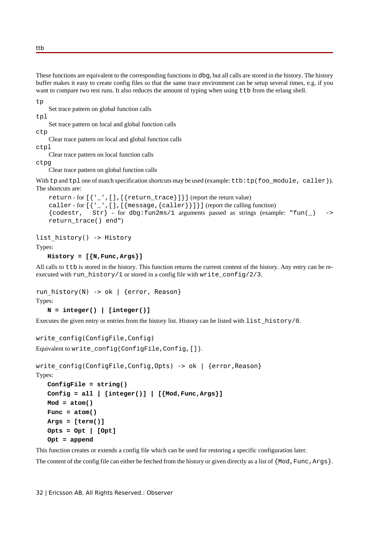These functions are equivalent to the corresponding functions in dbg, but all calls are stored in the history. The history buffer makes it easy to create config files so that the same trace environment can be setup several times, e.g. if you want to compare two test runs. It also reduces the amount of typing when using  $ttb$  from the erlang shell.

tp

Set trace pattern on global function calls

tpl

Set trace pattern on local and global function calls

ctp

Clear trace pattern on local and global function calls

ctpl

Clear trace pattern on local function calls

ctpg

Clear trace pattern on global function calls

With tp and tpl one of match specification shortcuts may be used (example: ttb:tp(foo\_module, caller)). The shortcuts are:

```
return - for [\{''}'], [\} (return_trace}]}] (report the return value)
caller - for [\{''_\lrcorner, [\]}_f] [{\mathcal{S}_\text{message}, \{ \text{caller} \}}]] (report the calling function)
{codestr, \text{Str}} - for dbg: fun2ms/1 arguments passed as strings (example: "fun(\ ) ->
return_trace() end")
```
#### list history() -> History

Types:

```
History = [{N,Func,Args}]
```
All calls to ttb is stored in the history. This function returns the current content of the history. Any entry can be reexecuted with run\_history/1 or stored in a config file with write\_config/2/3.

```
run history(N) \rightarrow ok | {error, Reason}
Types:
```

```
N = integer() | [integer()]
```
Executes the given entry or entries from the history list. History can be listed with list\_history/0.

```
write_config(ConfigFile,Config)
```
Equivalent to write\_config(ConfigFile,Config,[]).

```
write config(ConfigFile,Config,Opts) -> ok | {error,Reason}
Types:
   ConfigFile = string()
   Config = all | [integer()] | [{Mod,Func,Args}]
   Mod = atom()
   Func = atom()Args = [term()]
   Opts = Opt | [Opt]
   Opt = append
```
This function creates or extends a config file which can be used for restoring a specific configuration later.

The content of the config file can either be fetched from the history or given directly as a list of  ${Mod$ , Func, Args.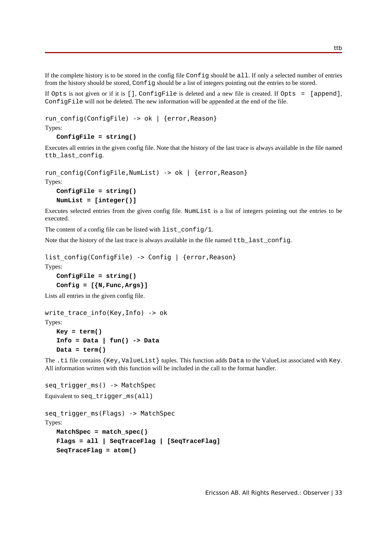If the complete history is to be stored in the config file Config should be all. If only a selected number of entries from the history should be stored, Config should be a list of integers pointing out the entries to be stored.

If Opts is not given or if it is [], ConfigFile is deleted and a new file is created. If Opts = [append], ConfigFile will not be deleted. The new information will be appended at the end of the file.

run config(ConfigFile) -> ok | {error,Reason} Types:

**ConfigFile = string()**

Executes all entries in the given config file. Note that the history of the last trace is always available in the file named ttb\_last\_config.

run config(ConfigFile,NumList) -> ok | {error, Reason}

Types:

```
ConfigFile = string()
NumList = [integer()]
```
Executes selected entries from the given config file. NumList is a list of integers pointing out the entries to be executed.

The content of a config file can be listed with list\_config/1.

Note that the history of the last trace is always available in the file named ttb last config.

```
list config(ConfigFile) -> Config | {error, Reason}
```
Types:

```
ConfigFile = string()
Config = [{N,Func,Args}]
```
Lists all entries in the given config file.

```
write trace info(Key,Info) -> okTypes:
   Key = term()
   Info = Data | fun() -> Data
   Data = term()
```
The .ti file contains {Key,ValueList} tuples. This function adds Data to the ValueList associated with Key. All information written with this function will be included in the call to the format handler.

seq trigger ms() -> MatchSpec

Equivalent to seq\_trigger\_ms(all)

```
seq trigger ms(Flags) -> MatchSpec
Types:
  MatchSpec = match_spec()
  Flags = all | SeqTraceFlag | [SeqTraceFlag]
   SeqTraceFlag = atom()
```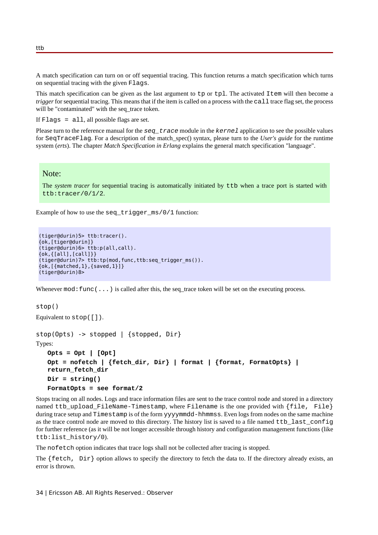A match specification can turn on or off sequential tracing. This function returns a match specification which turns on sequential tracing with the given Flags.

This match specification can be given as the last argument to tp or tpl. The activated Item will then become a *trigger* for sequential tracing. This means that if the item is called on a process with the call trace flag set, the process will be "contaminated" with the seq trace token.

If Flags = all, all possible flags are set.

Please turn to the reference manual for the seq\_trace module in the kernel application to see the possible values for SeqTraceFlag. For a description of the match\_spec() syntax, please turn to the *User's guide* for the runtime system (*erts*). The chapter *Match Specification in Erlang* explains the general match specification "language".

#### Note:

The *system tracer* for sequential tracing is automatically initiated by ttb when a trace port is started with ttb:tracer/0/1/2.

Example of how to use the seq\_trigger\_ms/0/1 function:

```
(tiger@durin)5> ttb:tracer().
{ok,[tiger@durin]}
(tiger@durin)6> ttb:p(all,call).
{ok,{[all],[call]}}
(tiger@durin)7> ttb:tp(mod,func,ttb:seq_trigger_ms()).
{ok,[{matched,1},{saved,1}]}
(tiger@durin)8>
```
Whenever  $mod:func(\ldots)$  is called after this, the seq\_trace token will be set on the executing process.

```
stop()
```

```
Equivalent to stop([]).
```

```
stop(Opts) -> stopped | {stopped, Dir}
Types:
  Opts = Opt | [Opt]
  Opt = nofetch | {fetch_dir, Dir} | format | {format, FormatOpts} |
  return_fetch_dir
  Dir = string()
  FormatOpts = see format/2
```
Stops tracing on all nodes. Logs and trace information files are sent to the trace control node and stored in a directory named ttb\_upload\_FileName-Timestamp, where Filename is the one provided with {file, File} during trace setup and Timestamp is of the form yyyymmdd-hhmmss. Even logs from nodes on the same machine as the trace control node are moved to this directory. The history list is saved to a file named ttb\_last\_config for further reference (as it will be not longer accessible through history and configuration management functions (like ttb:list\_history/0).

The nofetch option indicates that trace logs shall not be collected after tracing is stopped.

The  $\{\text{fetch, Dir}\}$  option allows to specify the directory to fetch the data to. If the directory already exists, an error is thrown.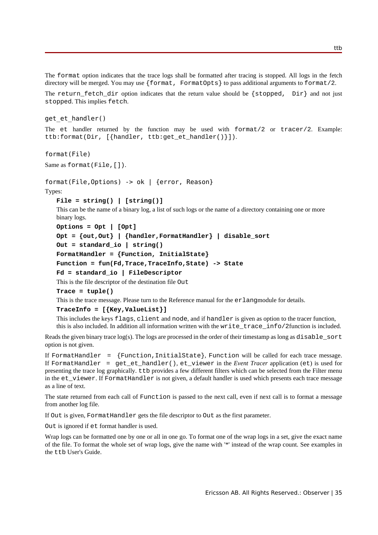The format option indicates that the trace logs shall be formatted after tracing is stopped. All logs in the fetch directory will be merged. You may use  $\{format, Format\}$  to pass additional arguments to format/2.

The return\_fetch\_dir option indicates that the return value should be {stopped, Dir} and not just stopped. This implies fetch.

#### get et handler()

The et handler returned by the function may be used with  $format/2$  or  $tracer/2$ . Example: ttb:format(Dir, [{handler, ttb:qet et handler()}]).

#### format(File)

Same as format(File,[]).

```
format(File,Options) -> ok | {error, Reason}
```
Types:

```
File = string() | [string()]
```
This can be the name of a binary log, a list of such logs or the name of a directory containing one or more binary logs.

```
Options = Opt | [Opt]
```

```
Opt = {out,Out} | {handler,FormatHandler} | disable_sort
Out = standard_io | string()
FormatHandler = {Function, InitialState}
```

```
Function = fun(Fd,Trace,TraceInfo,State) -> State
```
#### **Fd = standard\_io | FileDescriptor**

This is the file descriptor of the destination file Out

```
Trace = tuple()
```
This is the trace message. Please turn to the Reference manual for the erlangmodule for details.

```
TraceInfo = [{Key,ValueList}]
```
This includes the keys flags, client and node, and if handler is given as option to the tracer function, this is also included. In addition all information written with the write\_trace\_info/2function is included.

Reads the given binary trace log(s). The logs are processed in the order of their timestamp as long as disable\_sort option is not given.

If FormatHandler = {Function,InitialState}, Function will be called for each trace message. If FormatHandler = get\_et\_handler(), et\_viewer in the *Event Tracer* application (et) is used for presenting the trace log graphically. ttb provides a few different filters which can be selected from the Filter menu in the et\_viewer. If FormatHandler is not given, a default handler is used which presents each trace message as a line of text.

The state returned from each call of Function is passed to the next call, even if next call is to format a message from another log file.

If Out is given, FormatHandler gets the file descriptor to Out as the first parameter.

Out is ignored if et format handler is used.

Wrap logs can be formatted one by one or all in one go. To format one of the wrap logs in a set, give the exact name of the file. To format the whole set of wrap logs, give the name with '\*' instead of the wrap count. See examples in the ttb User's Guide.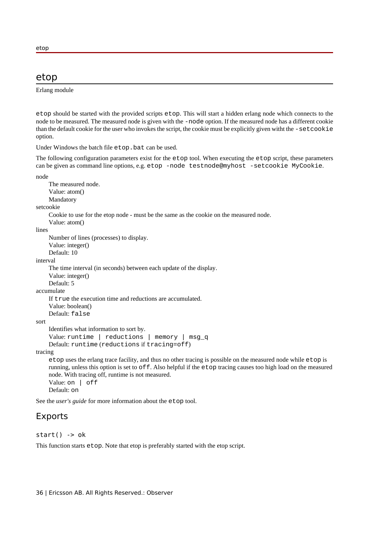#### etop

Erlang module

etop should be started with the provided scripts etop. This will start a hidden erlang node which connects to the node to be measured. The measured node is given with the -node option. If the measured node has a different cookie than the default cookie for the user who invokes the script, the cookie must be explicitly given witht the -setcookie option.

Under Windows the batch file etop.bat can be used.

The following configuration parameters exist for the etop tool. When executing the etop script, these parameters can be given as command line options, e.g. etop -node testnode@myhost -setcookie MyCookie. node

The measured node. Value: atom() Mandatory setcookie Cookie to use for the etop node - must be the same as the cookie on the measured node. Value: atom() lines Number of lines (processes) to display. Value: integer() Default: 10 interval The time interval (in seconds) between each update of the display. Value: integer() Default: 5 accumulate If true the execution time and reductions are accumulated. Value: boolean() Default: false sort Identifies what information to sort by. Value: runtime | reductions | memory | msg\_q Default: runtime (reductions if tracing=off) tracing etop uses the erlang trace facility, and thus no other tracing is possible on the measured node while etop is running, unless this option is set to off. Also helpful if the etop tracing causes too high load on the measured node. With tracing off, runtime is not measured.

See the *user's guide* for more information about the etop tool.

## Exports

#### $start() \rightarrow ok$

Value: on | off Default: on

This function starts etop. Note that etop is preferably started with the etop script.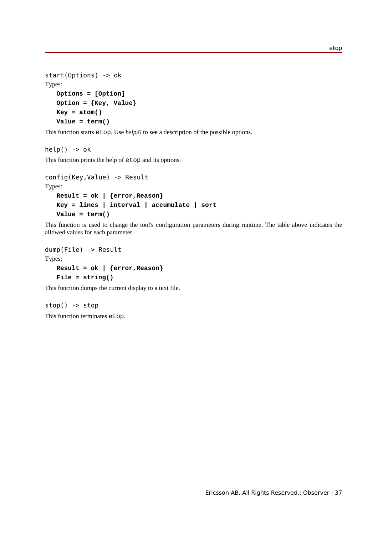```
start(Options) -> ok
Types:
   Options = [Option]
   Option = {Key, Value}
   Key = atom()
   Value = term()
```
This function starts etop. Use *help/0* to see a description of the possible options.

help() -> ok

This function prints the help of etop and its options.

```
config(Key,Value) -> Result
Types:
   Result = ok | {error,Reason}
   Key = lines | interval | accumulate | sort
   Value = term()
```
This function is used to change the tool's configuration parameters during runtime. The table above indicates the allowed values for each parameter.

```
dump(File) -> Result
Types:
   Result = ok | {error,Reason}
   File = string()
```
This function dumps the current display to a text file.

stop() -> stop

This function terminates etop.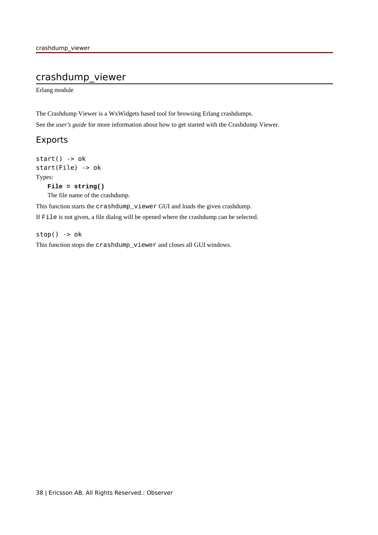# crashdump\_viewer

Erlang module

The Crashdump Viewer is a WxWidgets based tool for browsing Erlang crashdumps. See the *user's guide* for more information about how to get started with the Crashdump Viewer.

### Exports

 $start() \rightarrow ok$ start(File) -> ok Types: **File = string()**

The file name of the crashdump.

This function starts the crashdump\_viewer GUI and loads the given crashdump.

If File is not given, a file dialog will be opened where the crashdump can be selected.

#### $stop()$  ->  $ok$

This function stops the crashdump\_viewer and closes all GUI windows.